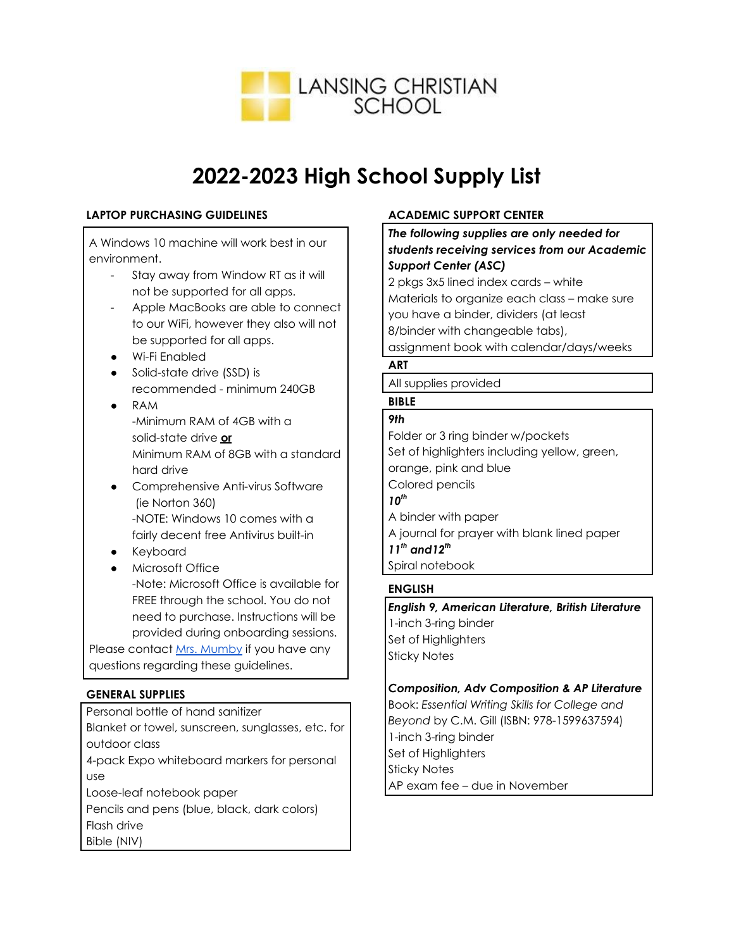

# **2022-2023 High School Supply List**

## **LAPTOP PURCHASING GUIDELINES**

A Windows 10 machine will work best in our environment.

- Stay away from Window RT as it will not be supported for all apps.
- Apple MacBooks are able to connect to our WiFi, however they also will not be supported for all apps.
- Wi-Fi Enabled
- Solid-state drive (SSD) is recommended - minimum 240GB
- RAM -Minimum RAM of 4GB with a solid-state drive **or** Minimum RAM of 8GB with a standard hard drive
- Comprehensive Anti-virus Software (ie Norton 360) -NOTE: Windows 10 comes with a fairly decent free Antivirus built-in
- Keyboard
- Microsoft Office -Note: Microsoft Office is available for FREE through the school. You do not need to purchase. Instructions will be

provided during onboarding sessions. Please contact Mrs. [Mumby](https://www.lansingchristianschool.org/about-lcs/staff-directory/high-school-staff/dionne-mumby/) if you have any questions regarding these guidelines.

# **GENERAL SUPPLIES**

Personal bottle of hand sanitizer Blanket or towel, sunscreen, sunglasses, etc. for outdoor class

4-pack Expo whiteboard markers for personal use

Loose-leaf notebook paper

Pencils and pens (blue, black, dark colors) Flash drive Bible (NIV)

# **ACADEMIC SUPPORT CENTER**

*The following supplies are only needed for students receiving services from our Academic Support Center (ASC)*

2 pkgs 3x5 lined index cards – white Materials to organize each class – make sure you have a binder, dividers (at least 8/binder with changeable tabs), assignment book with calendar/days/weeks

# **ART**

All supplies provided

#### **BIBLE** *9th*

Folder or 3 ring binder w/pockets Set of highlighters including yellow, green, orange, pink and blue Colored pencils *10 th* A binder with paper A journal for prayer with blank lined paper *11 th and12 th* Spiral notebook

# **ENGLISH**

*English 9, American Literature, British Literature* 1-inch 3-ring binder Set of Highlighters Sticky Notes

## *Composition, Adv Composition & AP Literature*

Book: *Essential Writing Skills for College and Beyond* by C.M. Gill (ISBN: 978-1599637594) 1-inch 3-ring binder Set of Highlighters Sticky Notes AP exam fee – due in November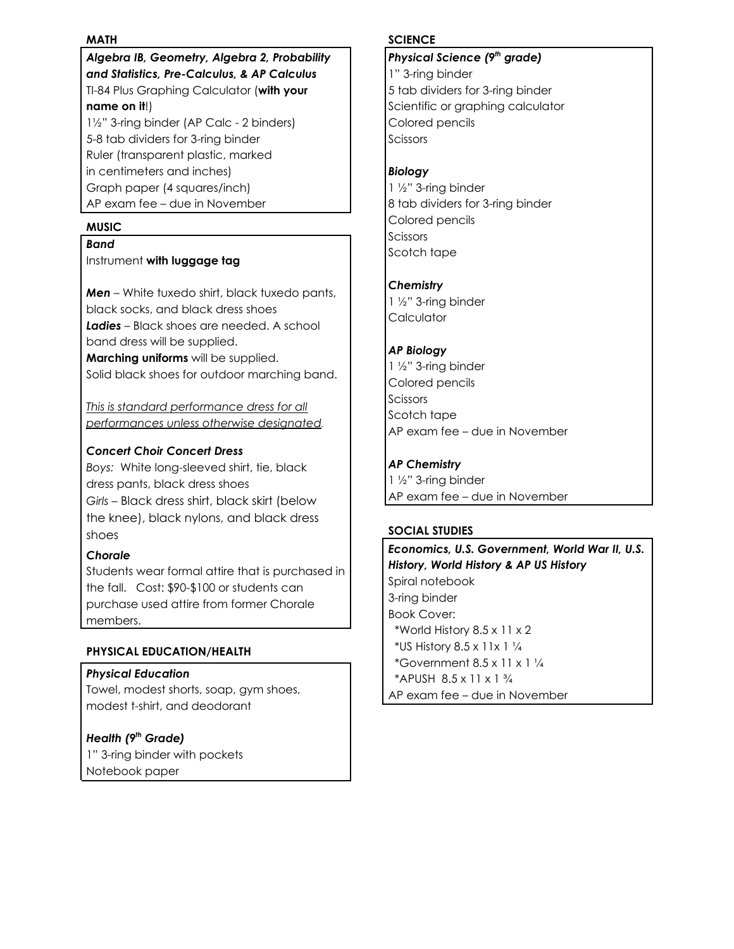### **MATH**

*Algebra IB, Geometry, Algebra 2, Probability and Statistics, Pre-Calculus, & AP Calculus* TI-84 Plus Graphing Calculator (**with your name on it**!)

1½" 3-ring binder (AP Calc - 2 binders) 5-8 tab dividers for 3-ring binder Ruler (transparent plastic, marked in centimeters and inches) Graph paper (4 squares/inch) AP exam fee – due in November

## **MUSIC**

### *Band*

Instrument **with luggage tag**

*Men –* White tuxedo shirt, black tuxedo pants, black socks, and black dress shoes *Ladies –* Black shoes are needed. A school band dress will be supplied. **Marching uniforms** will be supplied.

Solid black shoes for outdoor marching band.

*This is standard performance dress for all performances unless otherwise designated.*

## *Concert Choir Concert Dress*

*Boys:* White long-sleeved shirt, tie, black dress pants, black dress shoes *Girls* – Black dress shirt, black skirt (below the knee), black nylons, and black dress shoes

### *Chorale*

Students wear formal attire that is purchased in the fall. Cost: \$90-\$100 or students can purchase used attire from former Chorale members.

### **PHYSICAL EDUCATION/HEALTH**

### *Physical Education*

Towel, modest shorts, soap, gym shoes, modest t-shirt, and deodorant

## *Health (9 th Grade)*

1" 3-ring binder with pockets Notebook paper

#### **SCIENCE**

## *Physical Science (9 th grade)* 1" 3-ring binder 5 tab dividers for 3-ring binder Scientific or graphing calculator Colored pencils Scissors

## *Biology*

1 ½" 3-ring binder 8 tab dividers for 3-ring binder Colored pencils Scissors Scotch tape

## *Chemistry*

1 ½" 3-ring binder **Calculator** 

## *AP Biology*

1 ½" 3-ring binder Colored pencils **Scissors** Scotch tape AP exam fee – due in November

## *AP Chemistry*

1 ½" 3-ring binder AP exam fee – due in November

### **SOCIAL STUDIES**

*Economics, U.S. Government, World War II, U.S. History, World History & AP US History* Spiral notebook 3-ring binder Book Cover: \*World History 8.5 x 11 x 2 \*US History 8.5 x 11x 1 ¼ \*Government  $8.5 \times 11 \times 1\frac{1}{4}$ \*APUSH 8.5 x 11 x 1 ¾ AP exam fee – due in November